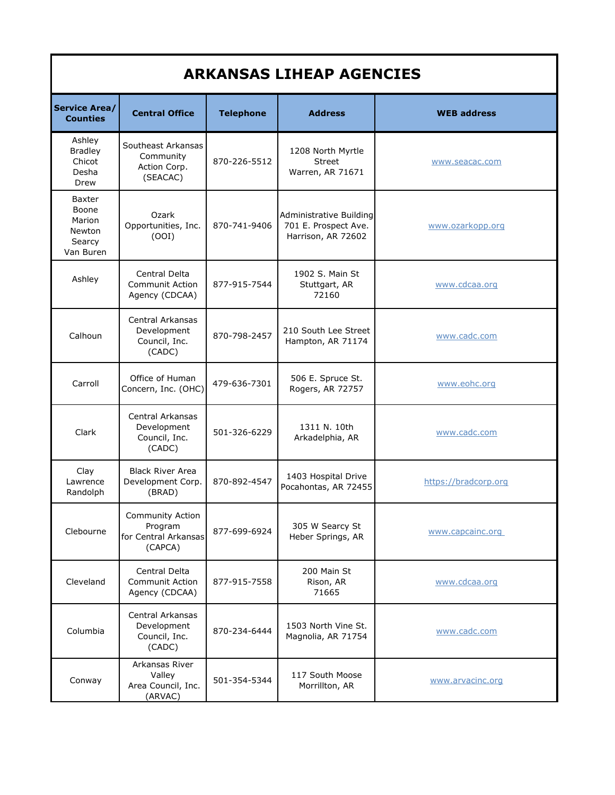| <b>ARKANSAS LIHEAP AGENCIES</b>                                   |                                                                |                  |                                                                       |                      |  |
|-------------------------------------------------------------------|----------------------------------------------------------------|------------------|-----------------------------------------------------------------------|----------------------|--|
| <b>Service Area/</b><br><b>Counties</b>                           | <b>Central Office</b>                                          | <b>Telephone</b> | <b>Address</b>                                                        | <b>WEB address</b>   |  |
| Ashley<br><b>Bradley</b><br>Chicot<br>Desha<br>Drew               | Southeast Arkansas<br>Community<br>Action Corp.<br>(SEACAC)    | 870-226-5512     | 1208 North Myrtle<br><b>Street</b><br>Warren, AR 71671                | www.seacac.com       |  |
| <b>Baxter</b><br>Boone<br>Marion<br>Newton<br>Searcy<br>Van Buren | Ozark<br>Opportunities, Inc.<br>(OOI)                          | 870-741-9406     | Administrative Building<br>701 E. Prospect Ave.<br>Harrison, AR 72602 | www.ozarkopp.org     |  |
| Ashley                                                            | Central Delta<br><b>Communit Action</b><br>Agency (CDCAA)      | 877-915-7544     | 1902 S. Main St<br>Stuttgart, AR<br>72160                             | www.cdcaa.org        |  |
| Calhoun                                                           | Central Arkansas<br>Development<br>Council, Inc.<br>(CADC)     | 870-798-2457     | 210 South Lee Street<br>Hampton, AR 71174                             | www.cadc.com         |  |
| Carroll                                                           | Office of Human<br>Concern, Inc. (OHC)                         | 479-636-7301     | 506 E. Spruce St.<br>Rogers, AR 72757                                 | www.eohc.org         |  |
| Clark                                                             | Central Arkansas<br>Development<br>Council, Inc.<br>(CADC)     | 501-326-6229     | 1311 N. 10th<br>Arkadelphia, AR                                       | www.cadc.com         |  |
| Clay<br>Lawrence<br>Randolph                                      | <b>Black River Area</b><br>Development Corp.<br>(BRAD)         | 870-892-4547     | 1403 Hospital Drive<br>Pocahontas, AR 72455                           | https://bradcorp.org |  |
| Clebourne                                                         | Community Action<br>Program<br>for Central Arkansas<br>(CAPCA) | 877-699-6924     | 305 W Searcy St<br>Heber Springs, AR                                  | www.capcainc.org     |  |
| Cleveland                                                         | Central Delta<br><b>Communit Action</b><br>Agency (CDCAA)      | 877-915-7558     | 200 Main St<br>Rison, AR<br>71665                                     | www.cdcaa.org        |  |
| Columbia                                                          | Central Arkansas<br>Development<br>Council, Inc.<br>(CADC)     | 870-234-6444     | 1503 North Vine St.<br>Magnolia, AR 71754                             | www.cadc.com         |  |
| Conway                                                            | Arkansas River<br>Valley<br>Area Council, Inc.<br>(ARVAC)      | 501-354-5344     | 117 South Moose<br>Morrillton, AR                                     | www.arvacinc.org     |  |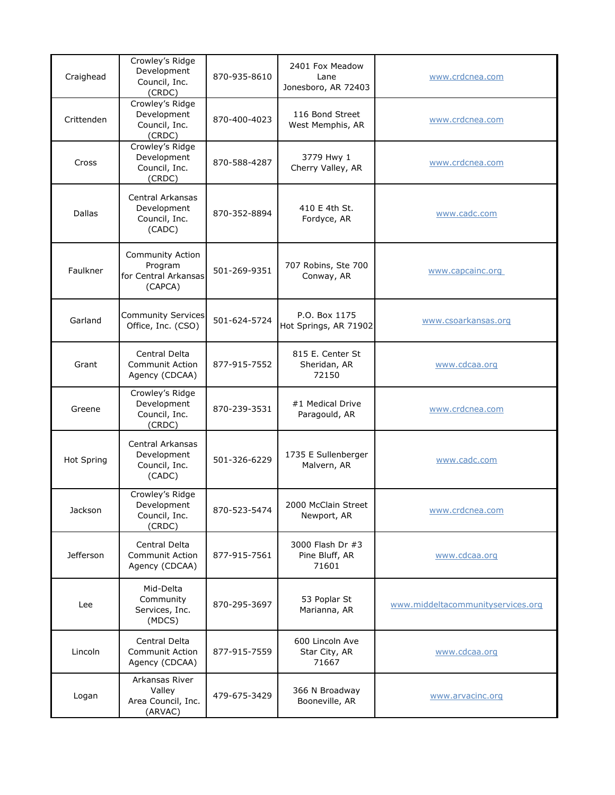| Craighead         | Crowley's Ridge<br>Development<br>Council, Inc.<br>(CRDC)         | 870-935-8610 | 2401 Fox Meadow<br>Lane<br>Jonesboro, AR 72403 | www.crdcnea.com                   |
|-------------------|-------------------------------------------------------------------|--------------|------------------------------------------------|-----------------------------------|
| Crittenden        | Crowley's Ridge<br>Development<br>Council, Inc.<br>(CRDC)         | 870-400-4023 | 116 Bond Street<br>West Memphis, AR            | www.crdcnea.com                   |
| Cross             | Crowley's Ridge<br>Development<br>Council, Inc.<br>(CRDC)         | 870-588-4287 | 3779 Hwy 1<br>Cherry Valley, AR                | www.crdcnea.com                   |
| <b>Dallas</b>     | Central Arkansas<br>Development<br>Council, Inc.<br>(CADC)        | 870-352-8894 | 410 E 4th St.<br>Fordyce, AR                   | www.cadc.com                      |
| Faulkner          | Community Action<br>Program<br>for Central Arkansas<br>(CAPCA)    | 501-269-9351 | 707 Robins, Ste 700<br>Conway, AR              | www.capcainc.org                  |
| Garland           | <b>Community Services</b><br>Office, Inc. (CSO)                   | 501-624-5724 | P.O. Box 1175<br>Hot Springs, AR 71902         | www.csoarkansas.org               |
| Grant             | Central Delta<br><b>Communit Action</b><br>Agency (CDCAA)         | 877-915-7552 | 815 E. Center St<br>Sheridan, AR<br>72150      | www.cdcaa.org                     |
| Greene            | Crowley's Ridge<br>Development<br>Council, Inc.<br>(CRDC)         | 870-239-3531 | #1 Medical Drive<br>Paragould, AR              | www.crdcnea.com                   |
| <b>Hot Spring</b> | <b>Central Arkansas</b><br>Development<br>Council, Inc.<br>(CADC) | 501-326-6229 | 1735 E Sullenberger<br>Malvern, AR             | www.cadc.com                      |
| Jackson           | Crowley's Ridge<br>Development<br>Council, Inc.<br>(CRDC)         | 870-523-5474 | 2000 McClain Street<br>Newport, AR             | www.crdcnea.com                   |
| Jefferson         | Central Delta<br><b>Communit Action</b><br>Agency (CDCAA)         | 877-915-7561 | 3000 Flash Dr #3<br>Pine Bluff, AR<br>71601    | www.cdcaa.org                     |
| Lee               | Mid-Delta<br>Community<br>Services, Inc.<br>(MDCS)                | 870-295-3697 | 53 Poplar St<br>Marianna, AR                   | www.middeltacommunityservices.org |
| Lincoln           | Central Delta<br><b>Communit Action</b><br>Agency (CDCAA)         | 877-915-7559 | 600 Lincoln Ave<br>Star City, AR<br>71667      | www.cdcaa.org                     |
| Logan             | Arkansas River<br>Valley<br>Area Council, Inc.<br>(ARVAC)         | 479-675-3429 | 366 N Broadway<br>Booneville, AR               | www.arvacinc.org                  |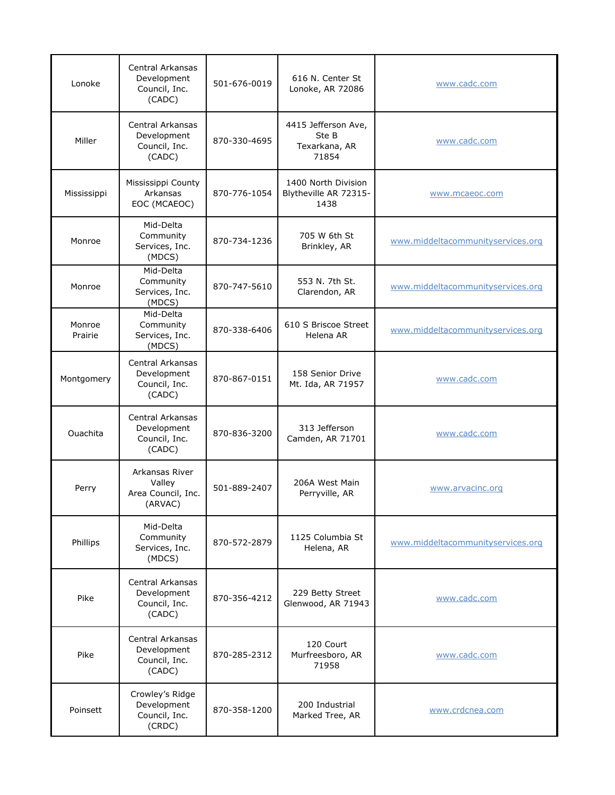| Lonoke            | Central Arkansas<br>Development<br>Council, Inc.<br>(CADC) | 501-676-0019 | 616 N. Center St<br>Lonoke, AR 72086                   | www.cadc.com                      |
|-------------------|------------------------------------------------------------|--------------|--------------------------------------------------------|-----------------------------------|
| Miller            | Central Arkansas<br>Development<br>Council, Inc.<br>(CADC) | 870-330-4695 | 4415 Jefferson Ave,<br>Ste B<br>Texarkana, AR<br>71854 | www.cadc.com                      |
| Mississippi       | Mississippi County<br>Arkansas<br>EOC (MCAEOC)             | 870-776-1054 | 1400 North Division<br>Blytheville AR 72315-<br>1438   | www.mcaeoc.com                    |
| Monroe            | Mid-Delta<br>Community<br>Services, Inc.<br>(MDCS)         | 870-734-1236 | 705 W 6th St<br>Brinkley, AR                           | www.middeltacommunityservices.org |
| Monroe            | Mid-Delta<br>Community<br>Services, Inc.<br>(MDCS)         | 870-747-5610 | 553 N. 7th St.<br>Clarendon, AR                        | www.middeltacommunityservices.org |
| Monroe<br>Prairie | Mid-Delta<br>Community<br>Services, Inc.<br>(MDCS)         | 870-338-6406 | 610 S Briscoe Street<br>Helena AR                      | www.middeltacommunityservices.org |
| Montgomery        | Central Arkansas<br>Development<br>Council, Inc.<br>(CADC) | 870-867-0151 | 158 Senior Drive<br>Mt. Ida, AR 71957                  | www.cadc.com                      |
| Ouachita          | Central Arkansas<br>Development<br>Council, Inc.<br>(CADC) | 870-836-3200 | 313 Jefferson<br>Camden, AR 71701                      | www.cadc.com                      |
| Perry             | Arkansas River<br>Valley<br>Area Council, Inc.<br>(ARVAC)  | 501-889-2407 | 206A West Main<br>Perryville, AR                       | www.arvacinc.org                  |
| Phillips          | Mid-Delta<br>Community<br>Services, Inc.<br>(MDCS)         | 870-572-2879 | 1125 Columbia St<br>Helena, AR                         | www.middeltacommunityservices.org |
| Pike              | Central Arkansas<br>Development<br>Council, Inc.<br>(CADC) | 870-356-4212 | 229 Betty Street<br>Glenwood, AR 71943                 | www.cadc.com                      |
| Pike              | Central Arkansas<br>Development<br>Council, Inc.<br>(CADC) | 870-285-2312 | 120 Court<br>Murfreesboro, AR<br>71958                 | www.cadc.com                      |
| Poinsett          | Crowley's Ridge<br>Development<br>Council, Inc.<br>(CRDC)  | 870-358-1200 | 200 Industrial<br>Marked Tree, AR                      | www.crdcnea.com                   |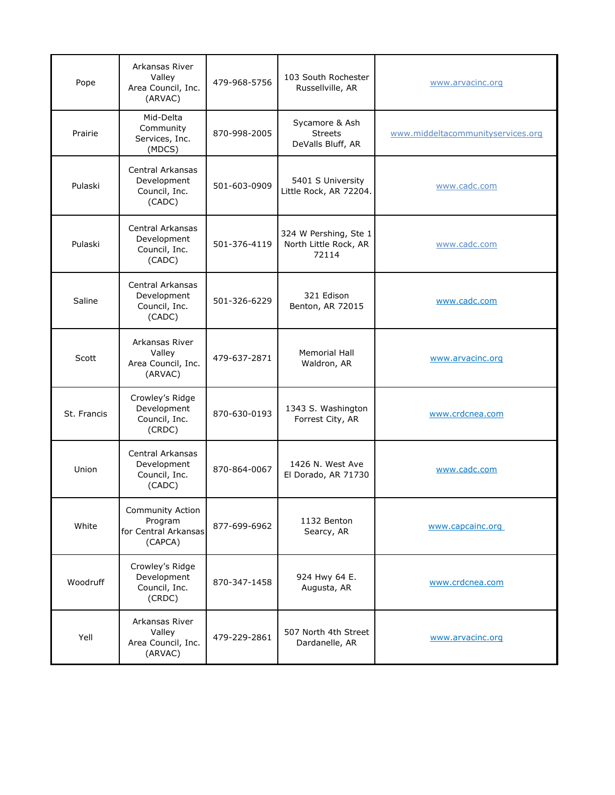| Pope        | Arkansas River<br>Valley<br>Area Council, Inc.<br>(ARVAC)      | 479-968-5756 | 103 South Rochester<br>Russellville, AR                 | www.arvacinc.org                  |
|-------------|----------------------------------------------------------------|--------------|---------------------------------------------------------|-----------------------------------|
| Prairie     | Mid-Delta<br>Community<br>Services, Inc.<br>(MDCS)             | 870-998-2005 | Sycamore & Ash<br><b>Streets</b><br>DeValls Bluff, AR   | www.middeltacommunityservices.org |
| Pulaski     | Central Arkansas<br>Development<br>Council, Inc.<br>(CADC)     | 501-603-0909 | 5401 S University<br>Little Rock, AR 72204.             | www.cadc.com                      |
| Pulaski     | Central Arkansas<br>Development<br>Council, Inc.<br>(CADC)     | 501-376-4119 | 324 W Pershing, Ste 1<br>North Little Rock, AR<br>72114 | www.cadc.com                      |
| Saline      | Central Arkansas<br>Development<br>Council, Inc.<br>(CADC)     | 501-326-6229 | 321 Edison<br>Benton, AR 72015                          | www.cadc.com                      |
| Scott       | Arkansas River<br>Valley<br>Area Council, Inc.<br>(ARVAC)      | 479-637-2871 | <b>Memorial Hall</b><br>Waldron, AR                     | www.arvacinc.org                  |
| St. Francis | Crowley's Ridge<br>Development<br>Council, Inc.<br>(CRDC)      | 870-630-0193 | 1343 S. Washington<br>Forrest City, AR                  | www.crdcnea.com                   |
| Union       | Central Arkansas<br>Development<br>Council, Inc.<br>(CADC)     | 870-864-0067 | 1426 N. West Ave<br>El Dorado, AR 71730                 | www.cadc.com                      |
| White       | Community Action<br>Program<br>for Central Arkansas<br>(CAPCA) | 877-699-6962 | 1132 Benton<br>Searcy, AR                               | www.capcainc.org                  |
| Woodruff    | Crowley's Ridge<br>Development<br>Council, Inc.<br>(CRDC)      | 870-347-1458 | 924 Hwy 64 E.<br>Augusta, AR                            | www.crdcnea.com                   |
| Yell        | Arkansas River<br>Valley<br>Area Council, Inc.<br>(ARVAC)      | 479-229-2861 | 507 North 4th Street<br>Dardanelle, AR                  | www.arvacinc.org                  |